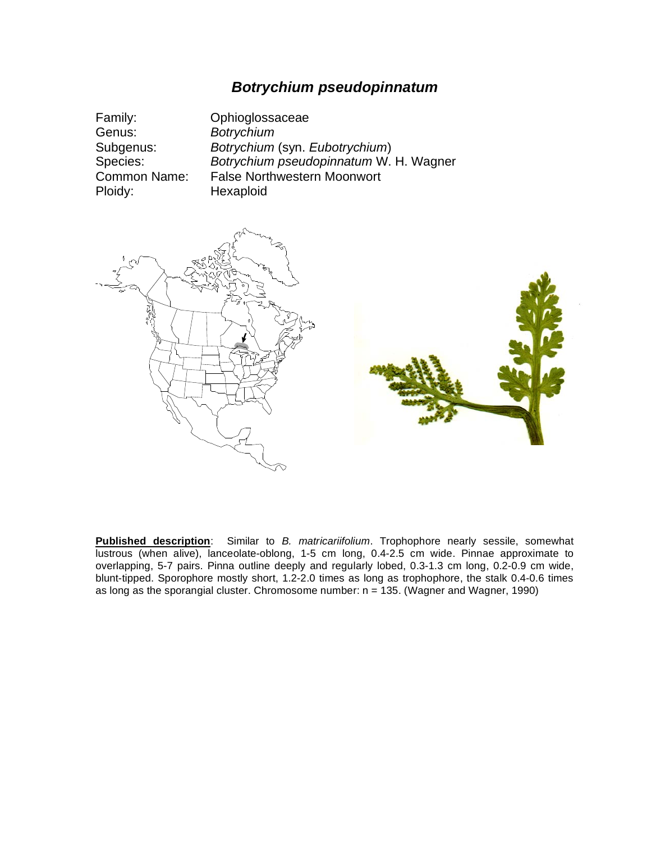## *Botrychium pseudopinnatum*

| Family:      | Ophioglossaceae                        |
|--------------|----------------------------------------|
| Genus:       | <b>Botrychium</b>                      |
| Subgenus:    | Botrychium (syn. Eubotrychium)         |
| Species:     | Botrychium pseudopinnatum W. H. Wagner |
| Common Name: | <b>False Northwestern Moonwort</b>     |
| Ploidy:      | Hexaploid                              |



**Published description**: Similar to *B. matricariifolium*. Trophophore nearly sessile, somewhat lustrous (when alive), lanceolate-oblong, 1-5 cm long, 0.4-2.5 cm wide. Pinnae approximate to overlapping, 5-7 pairs. Pinna outline deeply and regularly lobed, 0.3-1.3 cm long, 0.2-0.9 cm wide, blunt-tipped. Sporophore mostly short, 1.2-2.0 times as long as trophophore, the stalk 0.4-0.6 times as long as the sporangial cluster. Chromosome number:  $n = 135$ . (Wagner and Wagner, 1990)